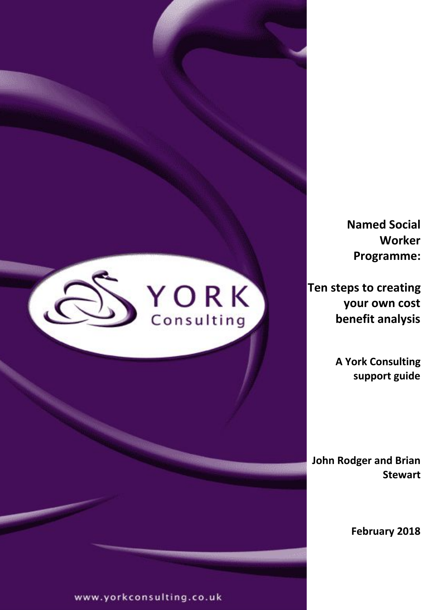

**Named Social Worker Programme:**

**Ten steps to creating your own cost benefit analysis**

> **A York Consulting support guide**

**John Rodger and Brian Stewart**

**February 2018**

www.yorkconsulting.co.uk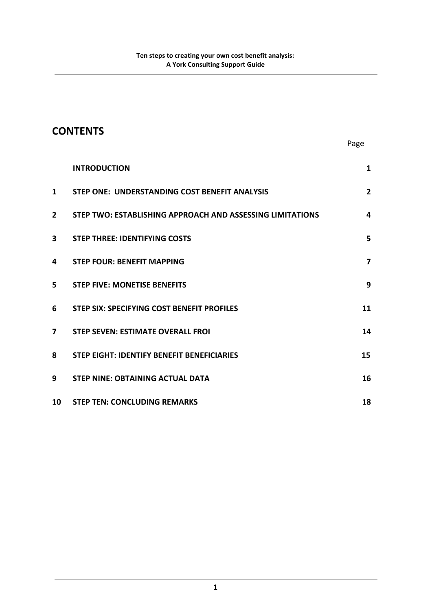Page

# **CONTENTS**

|                         | <b>INTRODUCTION</b>                                       | 1                       |
|-------------------------|-----------------------------------------------------------|-------------------------|
| 1                       | STEP ONE: UNDERSTANDING COST BENEFIT ANALYSIS             | $\overline{2}$          |
| $\overline{2}$          | STEP TWO: ESTABLISHING APPROACH AND ASSESSING LIMITATIONS | 4                       |
| $\overline{\mathbf{3}}$ | <b>STEP THREE: IDENTIFYING COSTS</b>                      | 5                       |
| 4                       | <b>STEP FOUR: BENEFIT MAPPING</b>                         | $\overline{\mathbf{z}}$ |
| 5                       | <b>STEP FIVE: MONETISE BENEFITS</b>                       | 9                       |
| 6                       | <b>STEP SIX: SPECIFYING COST BENEFIT PROFILES</b>         | 11                      |
| $\overline{\mathbf{z}}$ | <b>STEP SEVEN: ESTIMATE OVERALL FROI</b>                  | 14                      |
| 8                       | <b>STEP EIGHT: IDENTIFY BENEFIT BENEFICIARIES</b>         | 15                      |
| 9                       | <b>STEP NINE: OBTAINING ACTUAL DATA</b>                   | 16                      |
| 10                      | <b>STEP TEN: CONCLUDING REMARKS</b>                       | 18                      |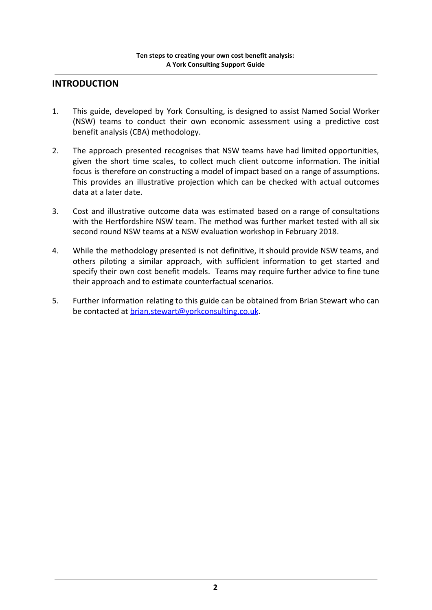## **INTRODUCTION**

- 1. This guide, developed by York Consulting, is designed to assist Named Social Worker (NSW) teams to conduct their own economic assessment using a predictive cost benefit analysis (CBA) methodology.
- 2. The approach presented recognises that NSW teams have had limited opportunities, given the short time scales, to collect much client outcome information. The initial focus is therefore on constructing a model of impact based on a range of assumptions. This provides an illustrative projection which can be checked with actual outcomes data at a later date.
- 3. Cost and illustrative outcome data was estimated based on a range of consultations with the Hertfordshire NSW team. The method was further market tested with all six second round NSW teams at a NSW evaluation workshop in February 2018.
- 4. While the methodology presented is not definitive, it should provide NSW teams, and others piloting a similar approach, with sufficient information to get started and specify their own cost benefit models. Teams may require further advice to fine tune their approach and to estimate counterfactual scenarios.
- 5. Further information relating to this guide can be obtained from Brian Stewart who can be contacted at [brian.stewart@yorkconsulting.co.uk.](mailto:brian.stewart@yorkconsulting.co.uk)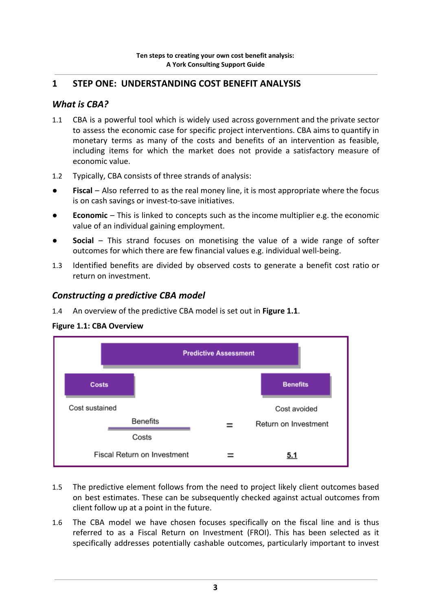## <span id="page-3-0"></span>**1 STEP ONE: UNDERSTANDING COST BENEFIT ANALYSIS**

## *What is CBA?*

- 1.1 CBA is a powerful tool which is widely used across government and the private sector to assess the economic case for specific project interventions. CBA aims to quantify in monetary terms as many of the costs and benefits of an intervention as feasible, including items for which the market does not provide a satisfactory measure of economic value.
- 1.2 Typically, CBA consists of three strands of analysis:
- **● Fiscal** Also referred to as the real money line, it is most appropriate where the focus is on cash savings or invest-to-save initiatives.
- **Economic** This is linked to concepts such as the income multiplier e.g. the economic value of an individual gaining employment.
- **Social** This strand focuses on monetising the value of a wide range of softer outcomes for which there are few financial values e.g. individual well-being.
- 1.3 Identified benefits are divided by observed costs to generate a benefit cost ratio or return on investment.

## *Constructing a predictive CBA model*

1.4 An overview of the predictive CBA model is set out in **Figure 1.1**.





- 1.5 The predictive element follows from the need to project likely client outcomes based on best estimates. These can be subsequently checked against actual outcomes from client follow up at a point in the future.
- 1.6 The CBA model we have chosen focuses specifically on the fiscal line and is thus referred to as a Fiscal Return on Investment (FROI). This has been selected as it specifically addresses potentially cashable outcomes, particularly important to invest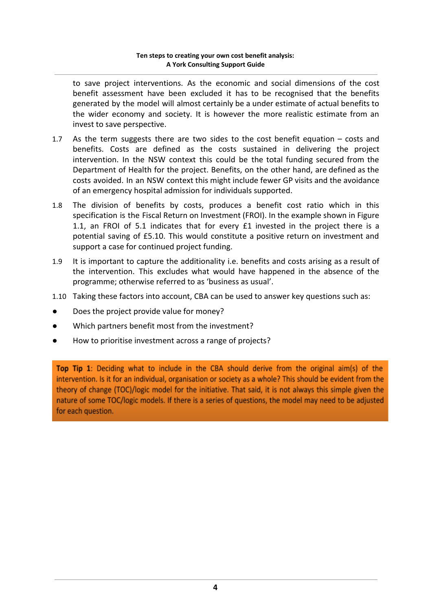#### **Ten steps to creating your own cost benefit analysis: A York Consulting Support Guide**

to save project interventions. As the economic and social dimensions of the cost benefit assessment have been excluded it has to be recognised that the benefits generated by the model will almost certainly be a under estimate of actual benefits to the wider economy and society. It is however the more realistic estimate from an invest to save perspective.

- 1.7 As the term suggests there are two sides to the cost benefit equation costs and benefits. Costs are defined as the costs sustained in delivering the project intervention. In the NSW context this could be the total funding secured from the Department of Health for the project. Benefits, on the other hand, are defined as the costs avoided. In an NSW context this might include fewer GP visits and the avoidance of an emergency hospital admission for individuals supported.
- 1.8 The division of benefits by costs, produces a benefit cost ratio which in this specification is the Fiscal Return on Investment (FROI). In the example shown in Figure 1.1, an FROI of 5.1 indicates that for every £1 invested in the project there is a potential saving of £5.10. This would constitute a positive return on investment and support a case for continued project funding.
- 1.9 It is important to capture the additionality i.e. benefits and costs arising as a result of the intervention. This excludes what would have happened in the absence of the programme; otherwise referred to as 'business as usual'.
- 1.10 Taking these factors into account, CBA can be used to answer key questions such as:
- Does the project provide value for money?
- Which partners benefit most from the investment?
- How to prioritise investment across a range of projects?

Top Tip 1: Deciding what to include in the CBA should derive from the original aim(s) of the intervention. Is it for an individual, organisation or society as a whole? This should be evident from the theory of change (TOC)/logic model for the initiative. That said, it is not always this simple given the nature of some TOC/logic models. If there is a series of questions, the model may need to be adjusted for each question.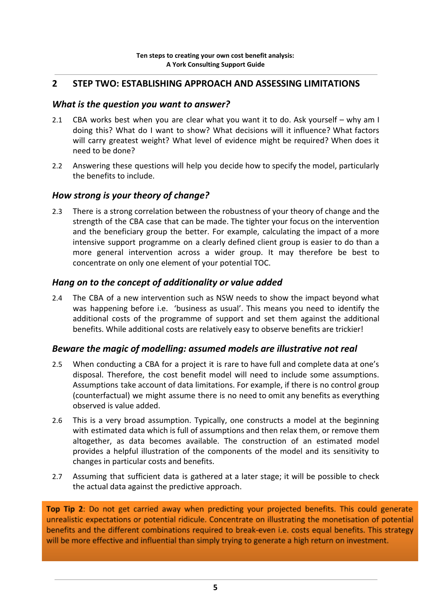## <span id="page-5-0"></span>**2 STEP TWO: ESTABLISHING APPROACH AND ASSESSING LIMITATIONS**

## *What is the question you want to answer?*

- 2.1 CBA works best when you are clear what you want it to do. Ask yourself why am I doing this? What do I want to show? What decisions will it influence? What factors will carry greatest weight? What level of evidence might be required? When does it need to be done?
- 2.2 Answering these questions will help you decide how to specify the model, particularly the benefits to include.

## *How strong is your theory of change?*

2.3 There is a strong correlation between the robustness of your theory of change and the strength of the CBA case that can be made. The tighter your focus on the intervention and the beneficiary group the better. For example, calculating the impact of a more intensive support programme on a clearly defined client group is easier to do than a more general intervention across a wider group. It may therefore be best to concentrate on only one element of your potential TOC.

## *Hang on to the concept of additionality or value added*

2.4 The CBA of a new intervention such as NSW needs to show the impact beyond what was happening before i.e. 'business as usual'. This means you need to identify the additional costs of the programme of support and set them against the additional benefits. While additional costs are relatively easy to observe benefits are trickier!

## *Beware the magic of modelling: assumed models are illustrative not real*

- 2.5 When conducting a CBA for a project it is rare to have full and complete data at one's disposal. Therefore, the cost benefit model will need to include some assumptions. Assumptions take account of data limitations. For example, if there is no control group (counterfactual) we might assume there is no need to omit any benefits as everything observed is value added.
- 2.6 This is a very broad assumption. Typically, one constructs a model at the beginning with estimated data which is full of assumptions and then relax them, or remove them altogether, as data becomes available. The construction of an estimated model provides a helpful illustration of the components of the model and its sensitivity to changes in particular costs and benefits.
- 2.7 Assuming that sufficient data is gathered at a later stage; it will be possible to check the actual data against the predictive approach.

Top Tip 2: Do not get carried away when predicting your projected benefits. This could generate unrealistic expectations or potential ridicule. Concentrate on illustrating the monetisation of potential benefits and the different combinations required to break-even i.e. costs equal benefits. This strategy will be more effective and influential than simply trying to generate a high return on investment.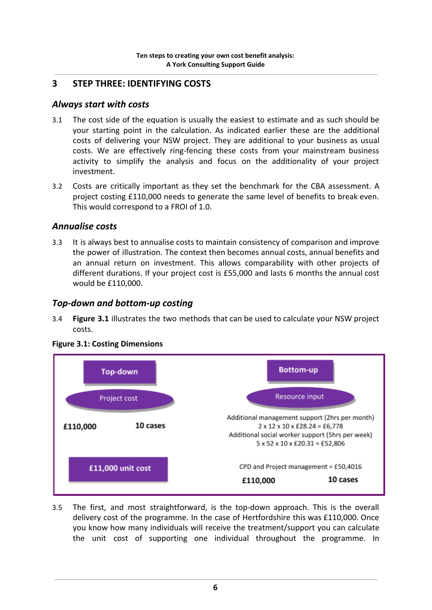## <span id="page-6-0"></span>**3 STEP THREE: IDENTIFYING COSTS**

#### *Always start with costs*

- 3.1 The cost side of the equation is usually the easiest to estimate and as such should be your starting point in the calculation. As indicated earlier these are the additional costs of delivering your NSW project. They are additional to your business as usual costs. We are effectively ring-fencing these costs from your mainstream business activity to simplify the analysis and focus on the additionality of your project investment.
- 3.2 Costs are critically important as they set the benchmark for the CBA assessment. A project costing £110,000 needs to generate the same level of benefits to break even. This would correspond to a FROI of 1.0.

## *Annualise costs*

3.3 It is always best to annualise costs to maintain consistency of comparison and improve the power of illustration. The context then becomes annual costs, annual benefits and an annual return on investment. This allows comparability with other projects of different durations. If your project cost is £55,000 and lasts 6 months the annual cost would be £110,000.

## *Top-down and bottom-up costing*

3.4 **Figure 3.1** illustrates the two methods that can be used to calculate your NSW project costs.





3.5 The first, and most straightforward, is the top-down approach. This is the overall delivery cost of the programme. In the case of Hertfordshire this was £110,000. Once you know how many individuals will receive the treatment/support you can calculate the unit cost of supporting one individual throughout the programme. In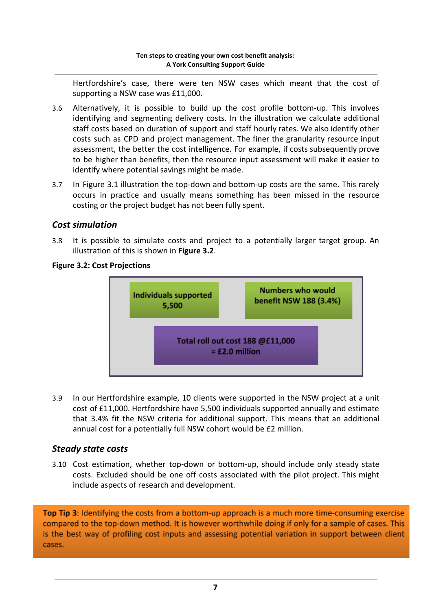Hertfordshire's case, there were ten NSW cases which meant that the cost of supporting a NSW case was £11,000.

- 3.6 Alternatively, it is possible to build up the cost profile bottom-up. This involves identifying and segmenting delivery costs. In the illustration we calculate additional staff costs based on duration of support and staff hourly rates. We also identify other costs such as CPD and project management. The finer the granularity resource input assessment, the better the cost intelligence. For example, if costs subsequently prove to be higher than benefits, then the resource input assessment will make it easier to identify where potential savings might be made.
- 3.7 In Figure 3.1 illustration the top-down and bottom-up costs are the same. This rarely occurs in practice and usually means something has been missed in the resource costing or the project budget has not been fully spent.

## *Cost simulation*

3.8 It is possible to simulate costs and project to a potentially larger target group. An illustration of this is shown in **Figure 3.2**.



**Figure 3.2: Cost Projections**

3.9 In our Hertfordshire example, 10 clients were supported in the NSW project at a unit cost of £11,000. Hertfordshire have 5,500 individuals supported annually and estimate that 3.4% fit the NSW criteria for additional support. This means that an additional annual cost for a potentially full NSW cohort would be £2 million.

## *Steady state costs*

3.10 Cost estimation, whether top-down or bottom-up, should include only steady state costs. Excluded should be one off costs associated with the pilot project. This might include aspects of research and development.

Top Tip 3: Identifying the costs from a bottom-up approach is a much more time-consuming exercise compared to the top-down method. It is however worthwhile doing if only for a sample of cases. This is the best way of profiling cost inputs and assessing potential variation in support between client cases.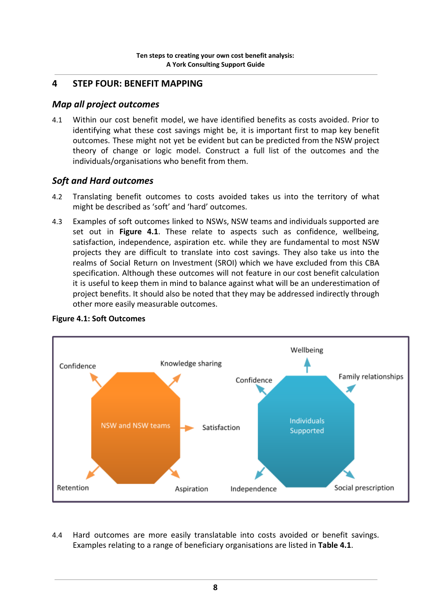## **4 STEP FOUR: BENEFIT MAPPING**

## *Map all project outcomes*

4.1 Within our cost benefit model, we have identified benefits as costs avoided. Prior to identifying what these cost savings might be, it is important first to map key benefit outcomes. These might not yet be evident but can be predicted from the NSW project theory of change or logic model. Construct a full list of the outcomes and the individuals/organisations who benefit from them.

## *Soft and Hard outcomes*

- 4.2 Translating benefit outcomes to costs avoided takes us into the territory of what might be described as 'soft' and 'hard' outcomes.
- 4.3 Examples of soft outcomes linked to NSWs, NSW teams and individuals supported are set out in **Figure 4.1**. These relate to aspects such as confidence, wellbeing, satisfaction, independence, aspiration etc. while they are fundamental to most NSW projects they are difficult to translate into cost savings. They also take us into the realms of Social Return on Investment (SROI) which we have excluded from this CBA specification. Although these outcomes will not feature in our cost benefit calculation it is useful to keep them in mind to balance against what will be an underestimation of project benefits. It should also be noted that they may be addressed indirectly through other more easily measurable outcomes.



#### **Figure 4.1: Soft Outcomes**

4.4 Hard outcomes are more easily translatable into costs avoided or benefit savings. Examples relating to a range of beneficiary organisations are listed in **Table 4.1**.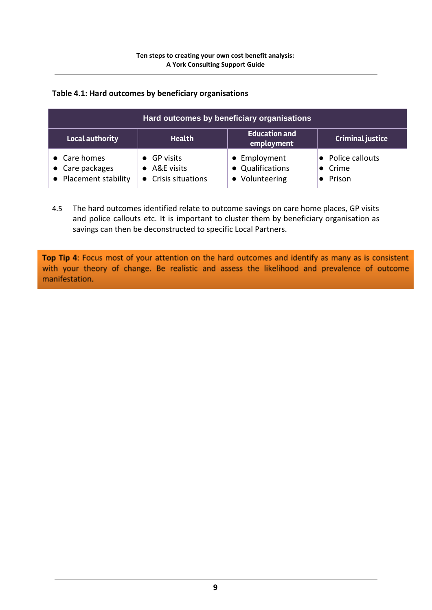## **Table 4.1: Hard outcomes by beneficiary organisations**

| Hard outcomes by beneficiary organisations               |                                                            |                                                    |                                                          |  |
|----------------------------------------------------------|------------------------------------------------------------|----------------------------------------------------|----------------------------------------------------------|--|
| Local authority                                          | <b>Health</b>                                              | <b>Education</b> and<br>employment                 | <b>Criminal justice</b>                                  |  |
| • Care homes<br>• Care packages<br>• Placement stability | $\bullet$ GP visits<br>• A&E visits<br>• Crisis situations | • Employment<br>• Qualifications<br>• Volunteering | $\bullet$ Police callouts<br>$\bullet$ Crime<br>• Prison |  |

4.5 The hard outcomes identified relate to outcome savings on care home places, GP visits and police callouts etc. It is important to cluster them by beneficiary organisation as savings can then be deconstructed to specific Local Partners.

Top Tip 4: Focus most of your attention on the hard outcomes and identify as many as is consistent with your theory of change. Be realistic and assess the likelihood and prevalence of outcome manifestation.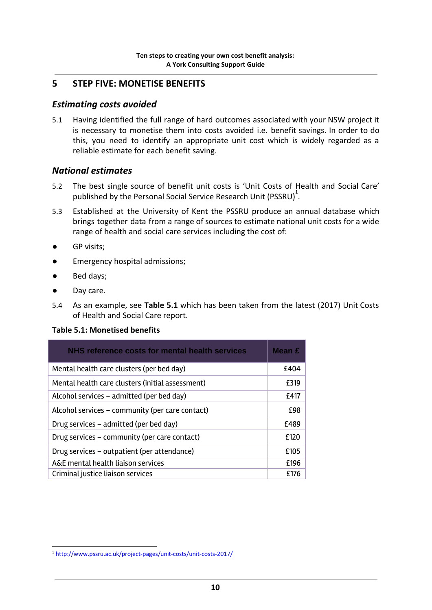## <span id="page-10-0"></span>**5 STEP FIVE: MONETISE BENEFITS**

#### *Estimating costs avoided*

5.1 Having identified the full range of hard outcomes associated with your NSW project it is necessary to monetise them into costs avoided i.e. benefit savings. In order to do this, you need to identify an appropriate unit cost which is widely regarded as a reliable estimate for each benefit saving.

## *National estimates*

- 5.2 The best single source of benefit unit costs is 'Unit Costs of Health and Social Care' published by the Personal Social Service Research Unit (PSSRU)<sup>1</sup>.
- 5.3 Established at the University of Kent the PSSRU produce an annual database which brings together data from a range of sources to estimate national unit costs for a wide range of health and social care services including the cost of:
- GP visits;
- Emergency hospital admissions;
- Bed days;
- Day care.
- 5.4 As an example, see **Table 5.1** which has been taken from the latest (2017) Unit Costs of Health and Social Care report.

#### **Table 5.1: Monetised benefits**

| NHS reference costs for mental health services   | Mean £ |
|--------------------------------------------------|--------|
| Mental health care clusters (per bed day)        | £404   |
| Mental health care clusters (initial assessment) | £319   |
| Alcohol services – admitted (per bed day)        | £417   |
| Alcohol services - community (per care contact)  | £98    |
| Drug services – admitted (per bed day)           | £489   |
| Drug services - community (per care contact)     | £120   |
| Drug services - outpatient (per attendance)      | £105   |
| A&E mental health liaison services               | £196   |
| Criminal justice liaison services                |        |

<sup>1</sup> <http://www.pssru.ac.uk/project-pages/unit-costs/unit-costs-2017/>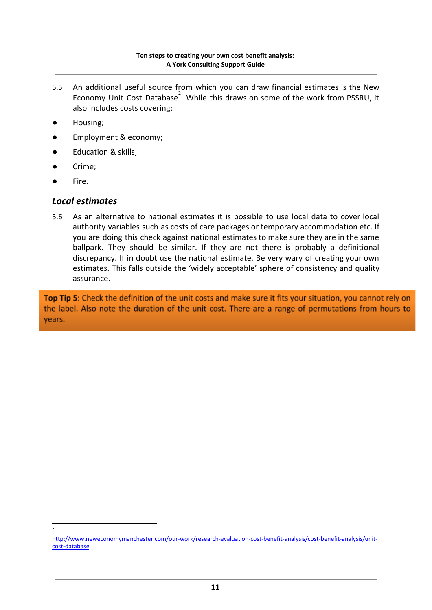- 5.5 An additional useful source from which you can draw financial estimates is the New Economy Unit Cost Database<sup>2</sup>. While this draws on some of the work from PSSRU, it also includes costs covering:
- Housing;
- Employment & economy;
- Education & skills;
- Crime;
- Fire.

 $\overline{2}$ 

## *Local estimates*

5.6 As an alternative to national estimates it is possible to use local data to cover local authority variables such as costs of care packages or temporary accommodation etc. If you are doing this check against national estimates to make sure they are in the same ballpark. They should be similar. If they are not there is probably a definitional discrepancy. If in doubt use the national estimate. Be very wary of creating your own estimates. This falls outside the 'widely acceptable' sphere of consistency and quality assurance.

Top Tip 5: Check the definition of the unit costs and make sure it fits your situation, you cannot rely on the label. Also note the duration of the unit cost. There are a range of permutations from hours to years.

[http://www.neweconomymanchester.com/our-work/research-evaluation-cost-benefit-analysis/cost-benefit-analysis/unit](http://www.neweconomymanchester.com/our-work/research-evaluation-cost-benefit-analysis/cost-benefit-analysis/unit-cost-database)[cost-database](http://www.neweconomymanchester.com/our-work/research-evaluation-cost-benefit-analysis/cost-benefit-analysis/unit-cost-database)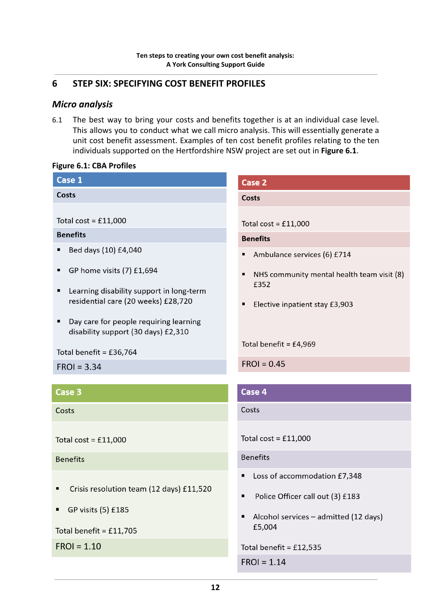## <span id="page-12-0"></span>**6 STEP SIX: SPECIFYING COST BENEFIT PROFILES**

## *Micro analysis*

6.1 The best way to bring your costs and benefits together is at an individual case level. This allows you to conduct what we call micro analysis. This will essentially generate a unit cost benefit assessment. Examples of ten cost benefit profiles relating to the ten individuals supported on the Hertfordshire NSW project are set out in **Figure 6.1**.

#### **Figure 6.1: CBA Profiles**

| Case 1                                                                                                                                                                                           | Case 2                                                                                                                                                                          |  |  |
|--------------------------------------------------------------------------------------------------------------------------------------------------------------------------------------------------|---------------------------------------------------------------------------------------------------------------------------------------------------------------------------------|--|--|
| Costs                                                                                                                                                                                            | <b>Costs</b>                                                                                                                                                                    |  |  |
| Total cost = $£11,000$<br><b>Benefits</b><br>Bed days (10) £4,040<br>п<br>GP home visits (7) £1,694<br>п<br>Learning disability support in long-term<br>Ξ<br>residential care (20 weeks) £28,720 | Total cost = $£11,000$<br><b>Benefits</b><br>Ambulance services (6) £714<br>п<br>NHS community mental health team visit (8)<br>п<br>£352<br>Elective inpatient stay £3,903<br>п |  |  |
| Day care for people requiring learning<br>٠<br>disability support (30 days) £2,310<br>Total benefit = $£36,764$<br>$FROI = 3.34$                                                                 | Total benefit = $£4,969$<br>$FROI = 0.45$                                                                                                                                       |  |  |
| Case 3                                                                                                                                                                                           | Case 4                                                                                                                                                                          |  |  |
| Costs                                                                                                                                                                                            | Costs                                                                                                                                                                           |  |  |
| Total cost = $£11,000$<br><b>Benefits</b>                                                                                                                                                        | Total cost = $£11,000$<br><b>Benefits</b>                                                                                                                                       |  |  |
| Crisis resolution team (12 days) £11,520<br>п<br>GP visits (5) £185                                                                                                                              | Loss of accommodation £7,348<br>٠<br>Police Officer call out (3) £183<br>Alcohol services - admitted (12 days)<br>£5,004                                                        |  |  |
| Total benefit = $£11,705$<br>$FROI = 1.10$                                                                                                                                                       | Total benefit = $£12,535$                                                                                                                                                       |  |  |
|                                                                                                                                                                                                  | $FROI = 1.14$                                                                                                                                                                   |  |  |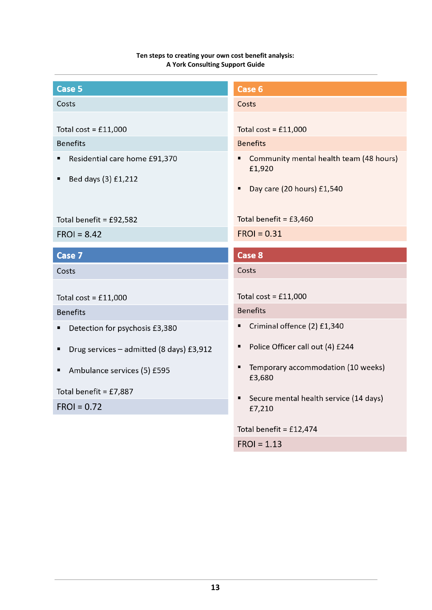#### **Ten steps to creating your own cost benefit analysis: A York Consulting Support Guide**

| Case 5                                                                                            | Case 6                                                                                                                                 |
|---------------------------------------------------------------------------------------------------|----------------------------------------------------------------------------------------------------------------------------------------|
| Costs                                                                                             | Costs                                                                                                                                  |
| Total cost = $£11,000$<br><b>Benefits</b><br>Residential care home £91,370<br>Bed days (3) £1,212 | Total cost = $£11,000$<br><b>Benefits</b><br>Community mental health team (48 hours)<br>٠<br>£1,920<br>Day care (20 hours) £1,540<br>п |
| Total benefit = £92,582                                                                           | Total benefit = $£3,460$                                                                                                               |
| $FROI = 8.42$                                                                                     | $FROI = 0.31$                                                                                                                          |
| Case 7                                                                                            | <b>Case 8</b>                                                                                                                          |
|                                                                                                   |                                                                                                                                        |
|                                                                                                   |                                                                                                                                        |
| Costs                                                                                             | Costs                                                                                                                                  |
| Total cost = $£11,000$                                                                            | Total cost = $£11,000$                                                                                                                 |
| <b>Benefits</b>                                                                                   | <b>Benefits</b>                                                                                                                        |
| Detection for psychosis £3,380                                                                    | Criminal offence (2) £1,340<br>п                                                                                                       |
| Drug services - admitted (8 days) £3,912                                                          | Police Officer call out (4) £244<br>٠                                                                                                  |
| Ambulance services (5) £595                                                                       | Temporary accommodation (10 weeks)<br>٠<br>£3,680                                                                                      |
| Total benefit = $£7,887$                                                                          |                                                                                                                                        |
| $FROI = 0.72$                                                                                     | Secure mental health service (14 days)<br>٠<br>£7,210                                                                                  |
|                                                                                                   | Total benefit = $£12,474$                                                                                                              |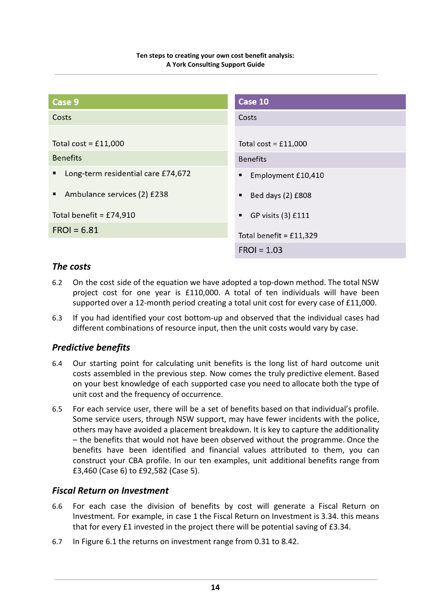| Case 9                                  | Case 10                   |
|-----------------------------------------|---------------------------|
| Costs                                   | Costs                     |
| Total cost = $£11,000$                  | Total cost = $£11,000$    |
| <b>Benefits</b>                         | <b>Benefits</b>           |
| Long-term residential care £74,672<br>п | Employment £10,410<br>п   |
| Ambulance services (2) £238             | Bed days (2) £808<br>п    |
| Total benefit = $£74,910$               | GP visits (3) £111<br>п   |
| $FROI = 6.81$                           | Total benefit = $£11,329$ |
|                                         | $FRO = 1.03$              |

## *The costs*

- 6.2 On the cost side of the equation we have adopted a top-down method. The total NSW project cost for one year is £110,000. A total of ten individuals will have been supported over a 12-month period creating a total unit cost for every case of £11,000.
- 6.3 If you had identified your cost bottom-up and observed that the individual cases had different combinations of resource input, then the unit costs would vary by case.

## *Predictive benefits*

- 6.4 Our starting point for calculating unit benefits is the long list of hard outcome unit costs assembled in the previous step. Now comes the truly predictive element. Based on your best knowledge of each supported case you need to allocate both the type of unit cost and the frequency of occurrence.
- 6.5 For each service user, there will be a set of benefits based on that individual's profile. Some service users, through NSW support, may have fewer incidents with the police, others may have avoided a placement breakdown. It is key to capture the additionality – the benefits that would not have been observed without the programme. Once the benefits have been identified and financial values attributed to them, you can construct your CBA profile. In our ten examples, unit additional benefits range from £3,460 (Case 6) to £92,582 (Case 5).

## *Fiscal Return on Investment*

- 6.6 For each case the division of benefits by cost will generate a Fiscal Return on Investment. For example, in case 1 the Fiscal Return on Investment is 3.34. this means that for every £1 invested in the project there will be potential saving of £3.34.
- 6.7 In Figure 6.1 the returns on investment range from 0.31 to 8.42.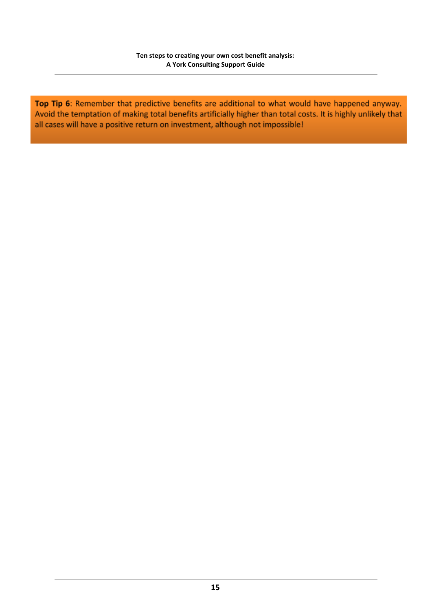Top Tip 6: Remember that predictive benefits are additional to what would have happened anyway. Avoid the temptation of making total benefits artificially higher than total costs. It is highly unlikely that all cases will have a positive return on investment, although not impossible!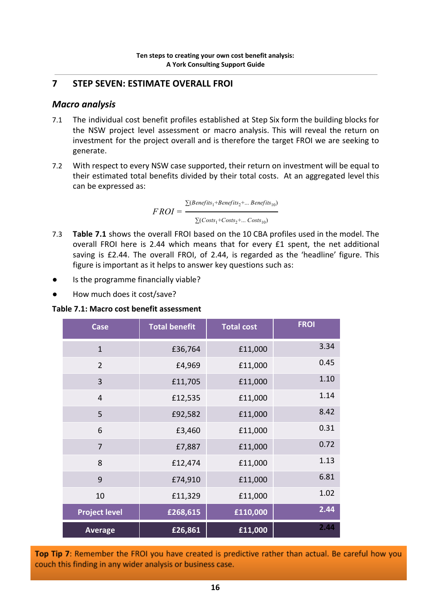## <span id="page-16-0"></span>**7 STEP SEVEN: ESTIMATE OVERALL FROI**

## *Macro analysis*

- 7.1 The individual cost benefit profiles established at Step Six form the building blocks for the NSW project level assessment or macro analysis. This will reveal the return on investment for the project overall and is therefore the target FROI we are seeking to generate.
- 7.2 With respect to every NSW case supported, their return on investment will be equal to their estimated total benefits divided by their total costs. At an aggregated level this can be expressed as:

$$
FROI = \frac{\sum (Benefits_1 + Benefits_2 + ... Benefits_{10})}{\sum (Costs_1 + Costs_2 + ... Costs_{10})}
$$

- 7.3 **Table 7.1** shows the overall FROI based on the 10 CBA profiles used in the model. The overall FROI here is 2.44 which means that for every £1 spent, the net additional saving is £2.44. The overall FROI, of 2.44, is regarded as the 'headline' figure. This figure is important as it helps to answer key questions such as:
- Is the programme financially viable?
- How much does it cost/save?

#### **Table 7.1: Macro cost benefit assessment**

| <b>Case</b>          | <b>Total benefit</b> | <b>Total cost</b> | <b>FROI</b> |
|----------------------|----------------------|-------------------|-------------|
| $\mathbf{1}$         | £36,764              | £11,000           | 3.34        |
| $\overline{2}$       | £4,969               | £11,000           | 0.45        |
| 3                    | £11,705              | £11,000           | 1.10        |
| $\overline{4}$       | £12,535              | £11,000           | 1.14        |
| 5                    | £92,582              | £11,000           | 8.42        |
| 6                    | £3,460               | £11,000           | 0.31        |
| $\overline{7}$       | £7,887               | £11,000           | 0.72        |
| 8                    | £12,474              | £11,000           | 1.13        |
| 9                    | £74,910              | £11,000           | 6.81        |
| 10                   | £11,329              | £11,000           | 1.02        |
| <b>Project level</b> | £268,615             | £110,000          | 2.44        |
| <b>Average</b>       | £26,861              | £11,000           | 2.44        |

Top Tip 7: Remember the FROI you have created is predictive rather than actual. Be careful how you couch this finding in any wider analysis or business case.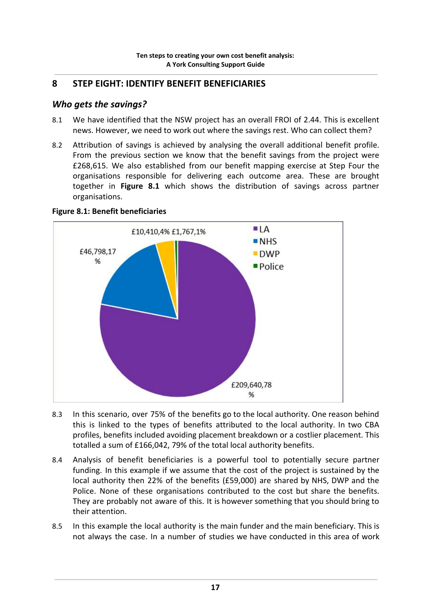## **8 STEP EIGHT: IDENTIFY BENEFIT BENEFICIARIES**

## *Who gets the savings?*

- 8.1 We have identified that the NSW project has an overall FROI of 2.44. This is excellent news. However, we need to work out where the savings rest. Who can collect them?
- 8.2 Attribution of savings is achieved by analysing the overall additional benefit profile. From the previous section we know that the benefit savings from the project were £268,615. We also established from our benefit mapping exercise at Step Four the organisations responsible for delivering each outcome area. These are brought together in **Figure 8.1** which shows the distribution of savings across partner organisations.



**Figure 8.1: Benefit beneficiaries**

- 8.3 In this scenario, over 75% of the benefits go to the local authority. One reason behind this is linked to the types of benefits attributed to the local authority. In two CBA profiles, benefits included avoiding placement breakdown or a costlier placement. This totalled a sum of £166,042, 79% of the total local authority benefits.
- 8.4 Analysis of benefit beneficiaries is a powerful tool to potentially secure partner funding. In this example if we assume that the cost of the project is sustained by the local authority then 22% of the benefits (£59,000) are shared by NHS, DWP and the Police. None of these organisations contributed to the cost but share the benefits. They are probably not aware of this. It is however something that you should bring to their attention.
- 8.5 In this example the local authority is the main funder and the main beneficiary. This is not always the case. In a number of studies we have conducted in this area of work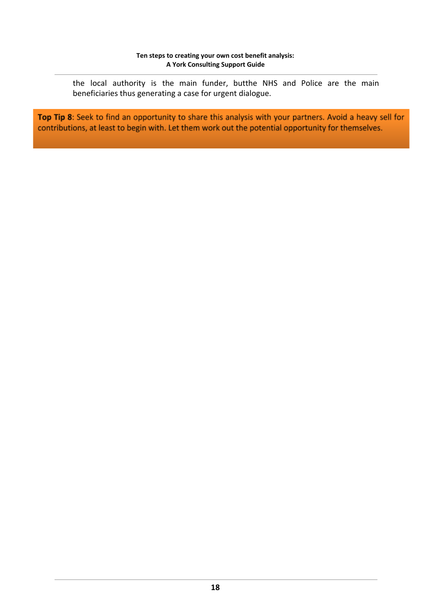the local authority is the main funder, butthe NHS and Police are the main beneficiaries thus generating a case for urgent dialogue.

Top Tip 8: Seek to find an opportunity to share this analysis with your partners. Avoid a heavy sell for contributions, at least to begin with. Let them work out the potential opportunity for themselves.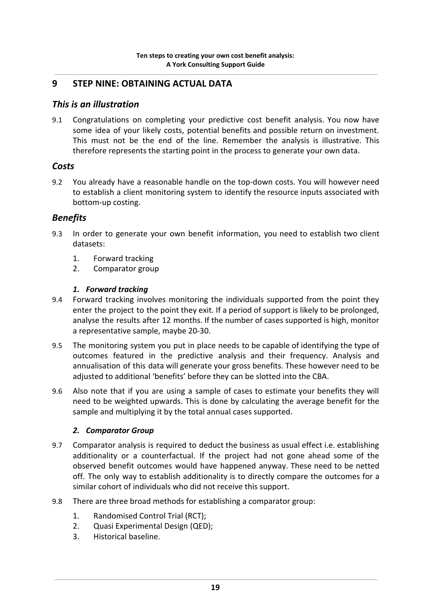## **9 STEP NINE: OBTAINING ACTUAL DATA**

## *This is an illustration*

9.1 Congratulations on completing your predictive cost benefit analysis. You now have some idea of your likely costs, potential benefits and possible return on investment. This must not be the end of the line. Remember the analysis is illustrative. This therefore represents the starting point in the process to generate your own data.

## *Costs*

9.2 You already have a reasonable handle on the top-down costs. You will however need to establish a client monitoring system to identify the resource inputs associated with bottom-up costing.

## *Benefits*

- 9.3 In order to generate your own benefit information, you need to establish two client datasets:
	- 1. Forward tracking
	- 2. Comparator group

# *1. Forward tracking*

- 9.4 Forward tracking involves monitoring the individuals supported from the point they enter the project to the point they exit. If a period of support is likely to be prolonged, analyse the results after 12 months. If the number of cases supported is high, monitor a representative sample, maybe 20-30.
- 9.5 The monitoring system you put in place needs to be capable of identifying the type of outcomes featured in the predictive analysis and their frequency. Analysis and annualisation of this data will generate your gross benefits. These however need to be adjusted to additional 'benefits' before they can be slotted into the CBA.
- 9.6 Also note that if you are using a sample of cases to estimate your benefits they will need to be weighted upwards. This is done by calculating the average benefit for the sample and multiplying it by the total annual cases supported.

#### *2. Comparator Group*

- 9.7 Comparator analysis is required to deduct the business as usual effect i.e. establishing additionality or a counterfactual. If the project had not gone ahead some of the observed benefit outcomes would have happened anyway. These need to be netted off. The only way to establish additionality is to directly compare the outcomes for a similar cohort of individuals who did not receive this support.
- 9.8 There are three broad methods for establishing a comparator group:
	- 1. Randomised Control Trial (RCT);
	- 2. Quasi Experimental Design (QED);
	- 3. Historical baseline.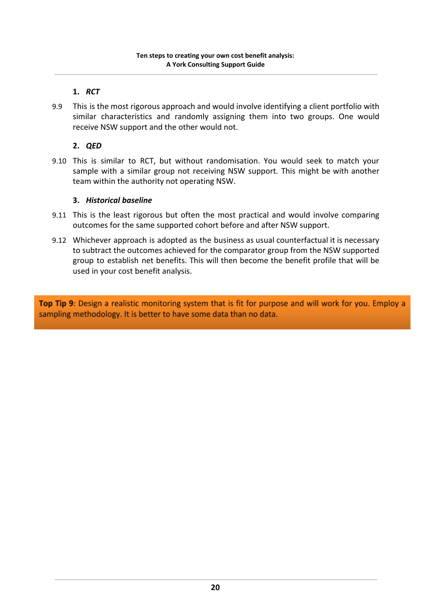## **1.** *RCT*

9.9 This is the most rigorous approach and would involve identifying a client portfolio with similar characteristics and randomly assigning them into two groups. One would receive NSW support and the other would not.

## **2.** *QED*

9.10 This is similar to RCT, but without randomisation. You would seek to match your sample with a similar group not receiving NSW support. This might be with another team within the authority not operating NSW.

## **3.** *Historical baseline*

- 9.11 This is the least rigorous but often the most practical and would involve comparing outcomes for the same supported cohort before and after NSW support.
- 9.12 Whichever approach is adopted as the business as usual counterfactual it is necessary to subtract the outcomes achieved for the comparator group from the NSW supported group to establish net benefits. This will then become the benefit profile that will be used in your cost benefit analysis.

Top Tip 9: Design a realistic monitoring system that is fit for purpose and will work for you. Employ a sampling methodology. It is better to have some data than no data.